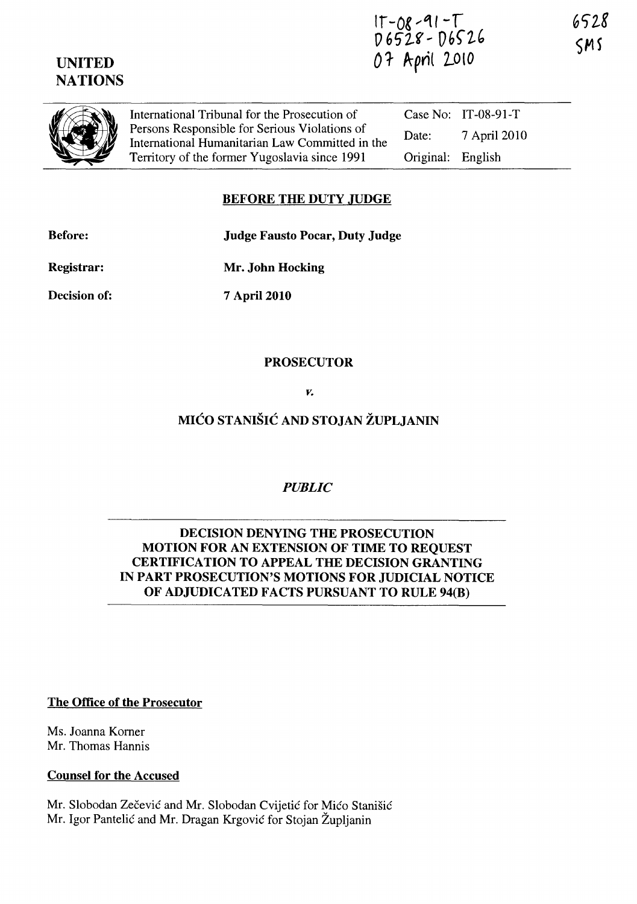# UNITED **NATIONS**

(I) **a** 

International Tribunal for the Prosecution of Persons Responsible for Serious Violations of International Humanitarian Law Committed in the Territory of the former Yugoslavia since 1991 Case No: IT-08-91-T Date: 7 April 2010 Original: English

# BEFORE THE DUTY JUDGE

Before:

Judge Fausto Pocar, Duty Judge

Registrar:

Decision of:

7 April 2010

Mr. John Hocking

### PROSECUTOR

*v.* 

MICO STANISIC AND STOJAN ZUPLJANIN

*PUBLIC* 

#### DECISION DENYING THE PROSECUTION MOTION FOR AN EXTENSION OF TIME TO REQUEST CERTIFICATION TO APPEAL THE DECISION GRANTING IN PART PROSECUTION'S MOTIONS FOR JUDICIAL NOTICE OF ADJUDICATED FACTS PURSUANT TO RULE 94(B)

The Office of the Prosecutor

Ms. Joanna Korner Mr. Thomas Hannis

Counsel for the Accused

Mr. Slobodan Zečević and Mr. Slobodan Cvijetić for Mićo Stanišić Mr. Igor Pantelic and Mr. Dragan Krgovic for Stojan Zupljanin

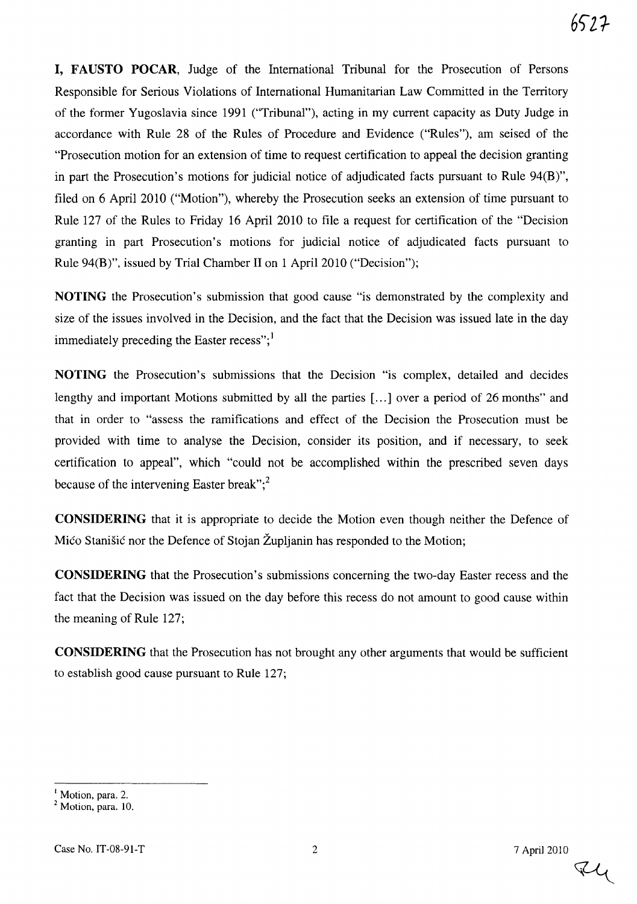**I, FAUSTO POCAR,** Judge of the International Tribunal for the Prosecution of Persons Responsible for Serious Violations of International Humanitarian Law Committed in the Territory of the former Yugoslavia since 1991 ("Tribunal"), acting in my current capacity as Duty Judge in accordance with Rule 28 of the Rules of Procedure and Evidence ("Rules"), am seised of the "Prosecution motion for an extension of time to request certification to appeal the decision granting in part the Prosecution's motions for judicial notice of adjudicated facts pursuant to Rule 94(B)", filed on 6 April 2010 ("Motion"), whereby the Prosecution seeks an extension of time pursuant to Rule 127 of the Rules to Friday 16 April 2010 to file a request for certification of the "Decision granting in part Prosecution's motions for judicial notice of adjudicated facts pursuant to Rule 94(B)", issued by Trial Chamber 11 on 1 April 2010 ("Decision");

**NOTING** the Prosecution's submission that good cause "is demonstrated by the complexity and size of the issues involved in the Decision, and the fact that the Decision was issued late in the day immediately preceding the Easter recess";<sup>1</sup>

**NOTING** the Prosecution's submissions that the Decision "is complex, detailed and decides lengthy and important Motions submitted by all the parties [...] over a period of 26 months" and that in order to "assess the ramifications and effect of the Decision the Prosecution must be provided with time to analyse the Decision, consider its position, and if necessary, to seek certification to appeal", which "could not be accomplished within the prescribed seven days because of the intervening Easter break"; $^{2}$ 

**CONSIDERING** that it is appropriate to decide the Motion even though neither the Defence of Mico Stanisic nor the Defence of Stojan Zupljanin has responded to the Motion;

**CONSIDERING** that the Prosecution's submissions concerning the two-day Easter recess and the fact that the Decision was issued on the day before this recess do not amount to good cause within the meaning of Rule 127;

**CONSIDERING** that the Prosecution has not brought any other arguments that would be sufficient to establish good cause pursuant to Rule 127;

 $74$ 

<sup>&</sup>lt;sup>I</sup> Motion, para. 2.

 $<sup>2</sup>$  Motion, para. 10.</sup>